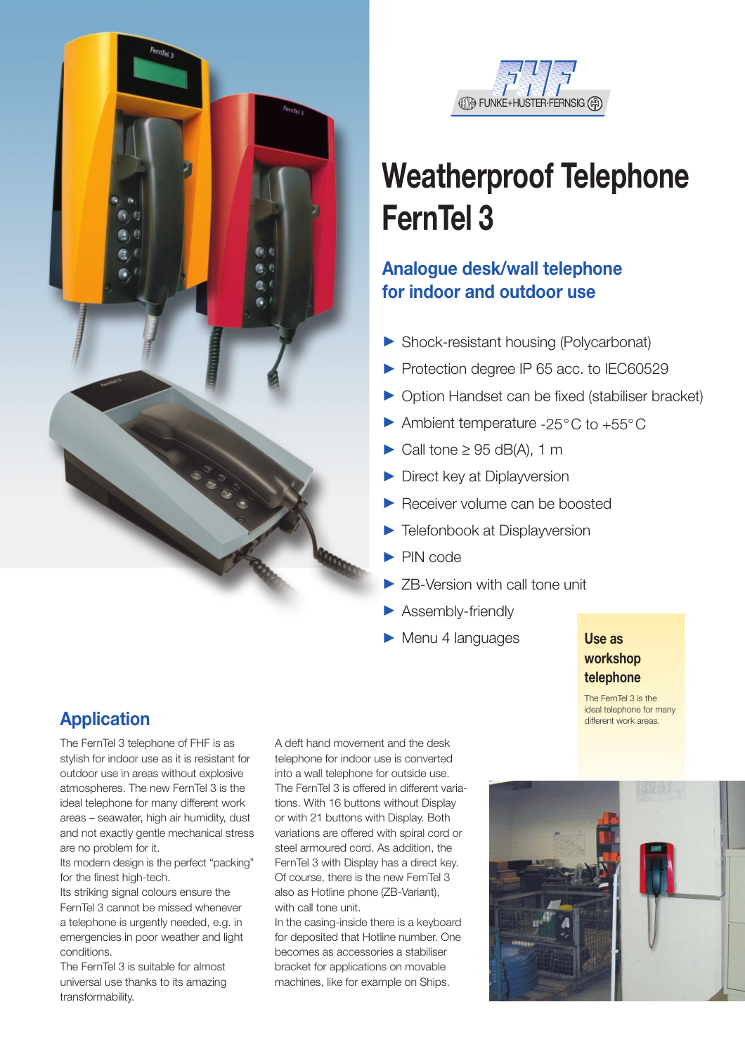



# **Weatherproof Telephone FernTel 3**

# **Analogue desk/wall telephone for indoor and outdoor use**

- 3 Shock-resistant housing (Polycarbonat)
- Protection degree IP 65 acc. to IEC60529
- 3 Option Handset can be fixed (stabiliser bracket)
- $\blacktriangleright$  Ambient temperature -25°C to +55°C
- $\blacktriangleright$  Call tone  $\geq$  95 dB(A), 1 m
- Direct key at Diplayversion
- Receiver volume can be boosted
- $\blacktriangleright$ Telefonbook at Displayversion
- $\blacktriangleright$  PIN code
- > ZB-Version with call tone unit
- > Assembly-friendly
- Menu 4 languages

### **Use as workshop telephone**

The FernTel 3 is the ideal telephone for many different work areas.

# **Application**

The FernTel 3 telephone of FHF is as stylish for indoor use as it is resistant for outdoor use in areas without explosive atmospheres. The new FernTel 3 is the ideal telephone for many different work areas – seawater, high air humidity, dust and not exactly gentle mechanical stress are no problem for it.

Its modern design is the perfect "packing" for the finest high-tech.

Its striking signal colours ensure the FernTel 3 cannot be missed whenever a telephone is urgently needed, e.g. in emergencies in poor weather and light conditions.

The FernTel 3 is suitable for almost universal use thanks to its amazing transformability.

A deft hand movement and the desk telephone for indoor use is converted into a wall telephone for outside use. The FernTel 3 is offered in different variations. With 16 buttons without Display or with 21 buttons with Display. Both variations are offered with spiral cord or steel armoured cord. As addition, the FernTel 3 with Display has a direct key. Of course, there is the new FernTel 3 also as Hotline phone (ZB-Variant), with call tone unit.

In the casing-inside there is a keyboard for deposited that Hotline number. One becomes as accessories a stabiliser bracket for applications on movable machines, like for example on Ships.